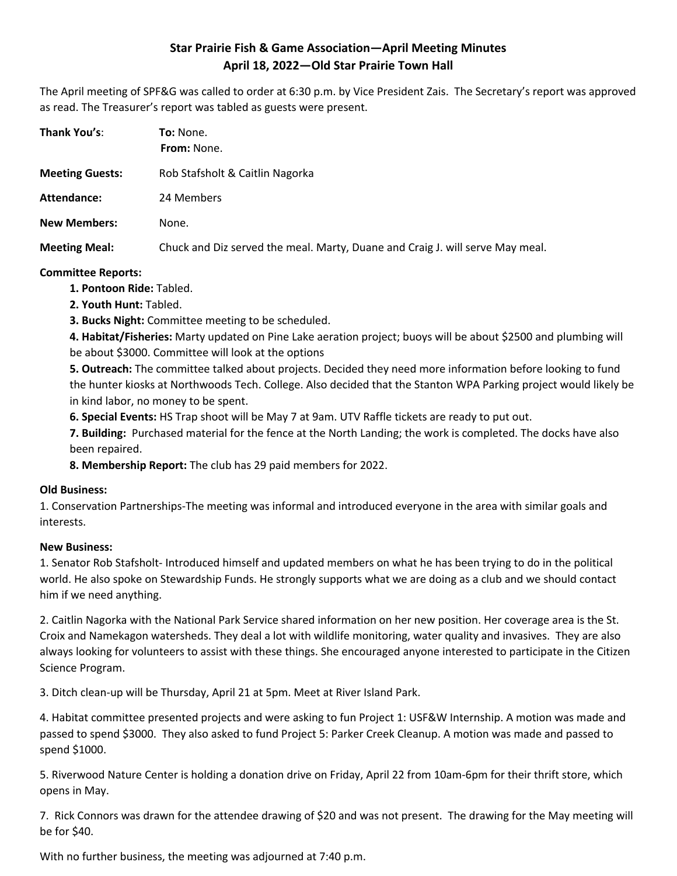## **Star Prairie Fish & Game Association—April Meeting Minutes April 18, 2022—Old Star Prairie Town Hall**

The April meeting of SPF&G was called to order at 6:30 p.m. by Vice President Zais. The Secretary's report was approved as read. The Treasurer's report was tabled as guests were present.

| Thank You's:           | <b>To:</b> None.<br><b>From: None.</b>                                        |
|------------------------|-------------------------------------------------------------------------------|
| <b>Meeting Guests:</b> | Rob Stafsholt & Caitlin Nagorka                                               |
| Attendance:            | 24 Members                                                                    |
| <b>New Members:</b>    | None.                                                                         |
| <b>Meeting Meal:</b>   | Chuck and Diz served the meal. Marty, Duane and Craig J. will serve May meal. |

#### **Committee Reports:**

- **1. Pontoon Ride:** Tabled.
- **2. Youth Hunt:** Tabled.
- **3. Bucks Night:** Committee meeting to be scheduled.

**4. Habitat/Fisheries:** Marty updated on Pine Lake aeration project; buoys will be about \$2500 and plumbing will be about \$3000. Committee will look at the options

**5. Outreach:** The committee talked about projects. Decided they need more information before looking to fund the hunter kiosks at Northwoods Tech. College. Also decided that the Stanton WPA Parking project would likely be in kind labor, no money to be spent.

**6. Special Events:** HS Trap shoot will be May 7 at 9am. UTV Raffle tickets are ready to put out.

**7. Building:** Purchased material for the fence at the North Landing; the work is completed. The docks have also been repaired.

**8. Membership Report:** The club has 29 paid members for 2022.

### **Old Business:**

1. Conservation Partnerships-The meeting was informal and introduced everyone in the area with similar goals and interests.

### **New Business:**

1. Senator Rob Stafsholt- Introduced himself and updated members on what he has been trying to do in the political world. He also spoke on Stewardship Funds. He strongly supports what we are doing as a club and we should contact him if we need anything.

2. Caitlin Nagorka with the National Park Service shared information on her new position. Her coverage area is the St. Croix and Namekagon watersheds. They deal a lot with wildlife monitoring, water quality and invasives. They are also always looking for volunteers to assist with these things. She encouraged anyone interested to participate in the Citizen Science Program.

3. Ditch clean-up will be Thursday, April 21 at 5pm. Meet at River Island Park.

4. Habitat committee presented projects and were asking to fun Project 1: USF&W Internship. A motion was made and passed to spend \$3000. They also asked to fund Project 5: Parker Creek Cleanup. A motion was made and passed to spend \$1000.

5. Riverwood Nature Center is holding a donation drive on Friday, April 22 from 10am-6pm for their thrift store, which opens in May.

7. Rick Connors was drawn for the attendee drawing of \$20 and was not present. The drawing for the May meeting will be for \$40.

With no further business, the meeting was adjourned at 7:40 p.m.